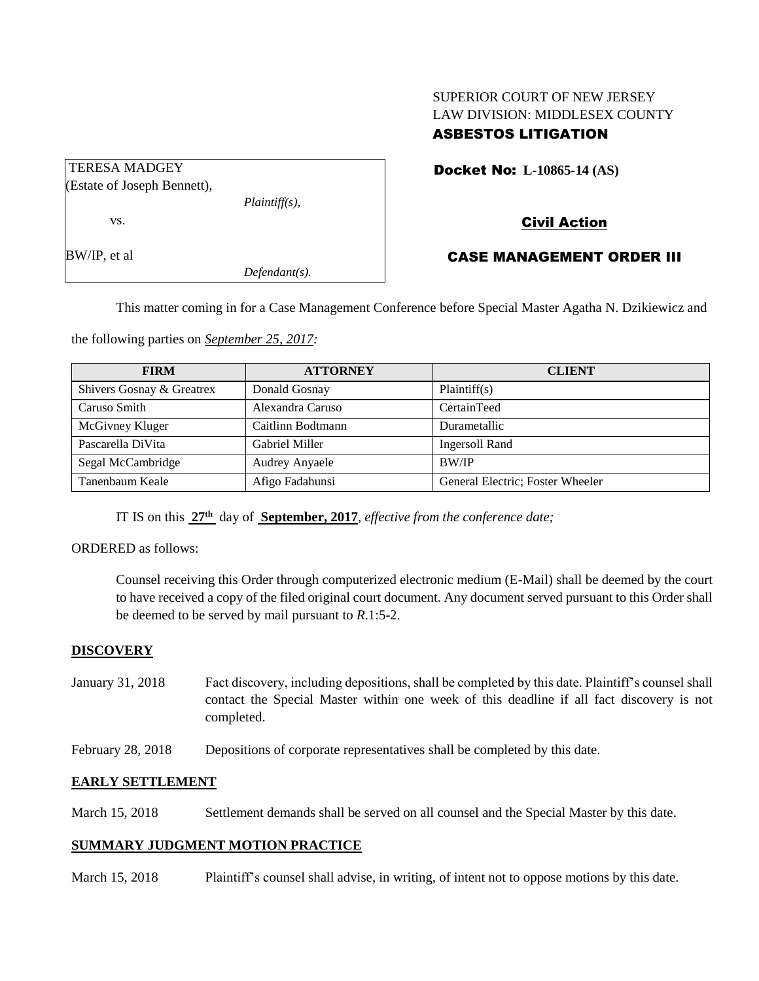# SUPERIOR COURT OF NEW JERSEY LAW DIVISION: MIDDLESEX COUNTY ASBESTOS LITIGATION

| <b>TERESA MADGEY</b>        |                  |  |
|-----------------------------|------------------|--|
| (Estate of Joseph Bennett), |                  |  |
|                             | $Plaintiff(s)$ , |  |
| VS.                         |                  |  |
|                             |                  |  |
| BW/IP, et al                |                  |  |

*Defendant(s).*

# Docket No: **L-10865-14 (AS)**

## Civil Action

## CASE MANAGEMENT ORDER III

This matter coming in for a Case Management Conference before Special Master Agatha N. Dzikiewicz and

the following parties on *September 25, 2017:*

| <b>FIRM</b>               | <b>ATTORNEY</b>       | <b>CLIENT</b>                    |
|---------------------------|-----------------------|----------------------------------|
| Shivers Gosnay & Greatrex | Donald Gosnay         | Plaintiff(s)                     |
| Caruso Smith              | Alexandra Caruso      | CertainTeed                      |
| McGivney Kluger           | Caitlinn Bodtmann     | Durametallic                     |
| Pascarella DiVita         | <b>Gabriel Miller</b> | <b>Ingersoll Rand</b>            |
| Segal McCambridge         | <b>Audrey Anyaele</b> | <b>BW/IP</b>                     |
| Tanenbaum Keale           | Afigo Fadahunsi       | General Electric; Foster Wheeler |

IT IS on this **27th** day of **September, 2017**, *effective from the conference date;*

## ORDERED as follows:

Counsel receiving this Order through computerized electronic medium (E-Mail) shall be deemed by the court to have received a copy of the filed original court document. Any document served pursuant to this Order shall be deemed to be served by mail pursuant to *R*.1:5-2.

## **DISCOVERY**

- January 31, 2018 Fact discovery, including depositions, shall be completed by this date. Plaintiff's counsel shall contact the Special Master within one week of this deadline if all fact discovery is not completed.
- February 28, 2018 Depositions of corporate representatives shall be completed by this date.

## **EARLY SETTLEMENT**

March 15, 2018 Settlement demands shall be served on all counsel and the Special Master by this date.

## **SUMMARY JUDGMENT MOTION PRACTICE**

March 15, 2018 Plaintiff's counsel shall advise, in writing, of intent not to oppose motions by this date.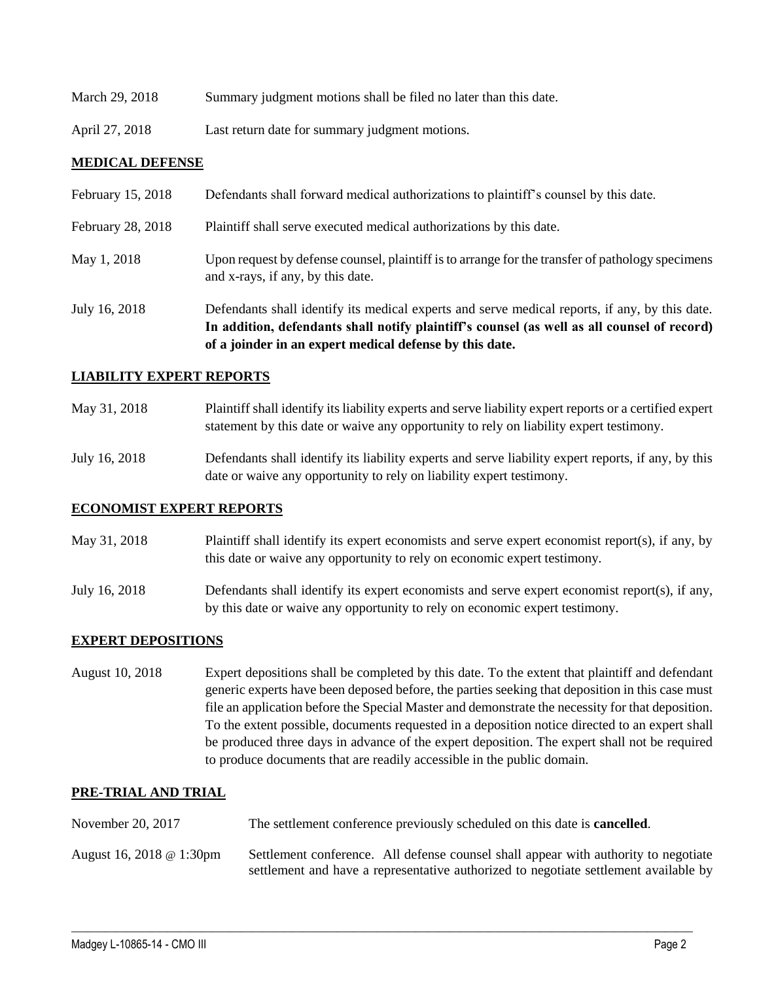| March 29, 2018 | Summary judgment motions shall be filed no later than this date. |
|----------------|------------------------------------------------------------------|
|                |                                                                  |

April 27, 2018 Last return date for summary judgment motions.

## **MEDICAL DEFENSE**

|                   | In addition, defendants shall notify plaintiff's counsel (as well as all counsel of record)<br>of a joinder in an expert medical defense by this date. |
|-------------------|--------------------------------------------------------------------------------------------------------------------------------------------------------|
| July 16, 2018     | Defendants shall identify its medical experts and serve medical reports, if any, by this date.                                                         |
| May 1, 2018       | Upon request by defense counsel, plaintiff is to arrange for the transfer of pathology specimens<br>and x-rays, if any, by this date.                  |
| February 28, 2018 | Plaintiff shall serve executed medical authorizations by this date.                                                                                    |
| February 15, 2018 | Defendants shall forward medical authorizations to plaintiff's counsel by this date.                                                                   |

## **LIABILITY EXPERT REPORTS**

| May 31, 2018  | Plaintiff shall identify its liability experts and serve liability expert reports or a certified expert<br>statement by this date or waive any opportunity to rely on liability expert testimony. |
|---------------|---------------------------------------------------------------------------------------------------------------------------------------------------------------------------------------------------|
| July 16, 2018 | Defendants shall identify its liability experts and serve liability expert reports, if any, by this<br>date or waive any opportunity to rely on liability expert testimony.                       |

## **ECONOMIST EXPERT REPORTS**

May 31, 2018 Plaintiff shall identify its expert economists and serve expert economist report(s), if any, by this date or waive any opportunity to rely on economic expert testimony.

July 16, 2018 Defendants shall identify its expert economists and serve expert economist report(s), if any, by this date or waive any opportunity to rely on economic expert testimony.

## **EXPERT DEPOSITIONS**

August 10, 2018 Expert depositions shall be completed by this date. To the extent that plaintiff and defendant generic experts have been deposed before, the parties seeking that deposition in this case must file an application before the Special Master and demonstrate the necessity for that deposition. To the extent possible, documents requested in a deposition notice directed to an expert shall be produced three days in advance of the expert deposition. The expert shall not be required to produce documents that are readily accessible in the public domain.

## **PRE-TRIAL AND TRIAL**

| November 20, 2017        | The settlement conference previously scheduled on this date is <b>cancelled</b> .                                                                                           |  |
|--------------------------|-----------------------------------------------------------------------------------------------------------------------------------------------------------------------------|--|
| August 16, 2018 @ 1:30pm | Settlement conference. All defense counsel shall appear with authority to negotiate<br>settlement and have a representative authorized to negotiate settlement available by |  |

 $\_$  ,  $\_$  ,  $\_$  ,  $\_$  ,  $\_$  ,  $\_$  ,  $\_$  ,  $\_$  ,  $\_$  ,  $\_$  ,  $\_$  ,  $\_$  ,  $\_$  ,  $\_$  ,  $\_$  ,  $\_$  ,  $\_$  ,  $\_$  ,  $\_$  ,  $\_$  ,  $\_$  ,  $\_$  ,  $\_$  ,  $\_$  ,  $\_$  ,  $\_$  ,  $\_$  ,  $\_$  ,  $\_$  ,  $\_$  ,  $\_$  ,  $\_$  ,  $\_$  ,  $\_$  ,  $\_$  ,  $\_$  ,  $\_$  ,